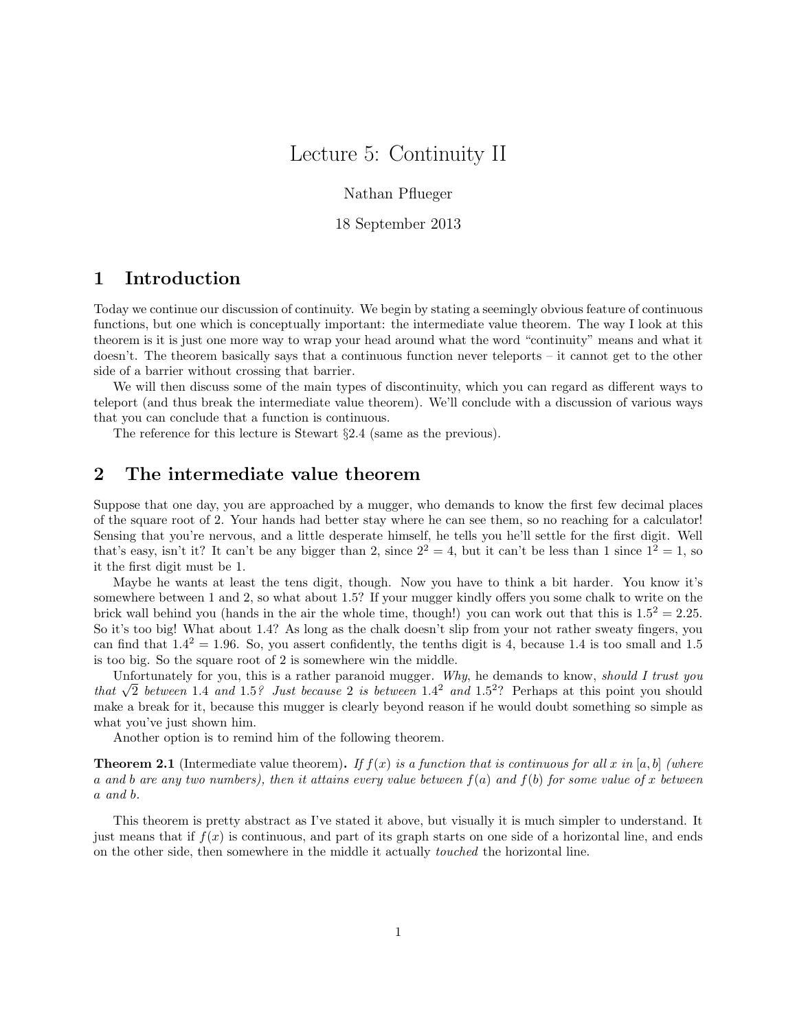# Lecture 5: Continuity II

Nathan Pflueger

18 September 2013

## 1 Introduction

Today we continue our discussion of continuity. We begin by stating a seemingly obvious feature of continuous functions, but one which is conceptually important: the intermediate value theorem. The way I look at this theorem is it is just one more way to wrap your head around what the word "continuity" means and what it doesn't. The theorem basically says that a continuous function never teleports – it cannot get to the other side of a barrier without crossing that barrier.

We will then discuss some of the main types of discontinuity, which you can regard as different ways to teleport (and thus break the intermediate value theorem). We'll conclude with a discussion of various ways that you can conclude that a function is continuous.

The reference for this lecture is Stewart §2.4 (same as the previous).

## 2 The intermediate value theorem

Suppose that one day, you are approached by a mugger, who demands to know the first few decimal places of the square root of 2. Your hands had better stay where he can see them, so no reaching for a calculator! Sensing that you're nervous, and a little desperate himself, he tells you he'll settle for the first digit. Well that's easy, isn't it? It can't be any bigger than 2, since  $2^2 = 4$ , but it can't be less than 1 since  $1^2 = 1$ , so it the first digit must be 1.

Maybe he wants at least the tens digit, though. Now you have to think a bit harder. You know it's somewhere between 1 and 2, so what about 1.5? If your mugger kindly offers you some chalk to write on the brick wall behind you (hands in the air the whole time, though!) you can work out that this is  $1.5^2 = 2.25$ . So it's too big! What about 1.4? As long as the chalk doesn't slip from your not rather sweaty fingers, you can find that  $1.4<sup>2</sup> = 1.96$ . So, you assert confidently, the tenths digit is 4, because 1.4 is too small and 1.5 is too big. So the square root of 2 is somewhere win the middle.

Unfortunately for you, this is a rather paranoid mugger. Why, he demands to know, should I trust you Unfortunately for you, this is a rather parahold mugger. Why, he demands to know, *should 1 trust you* that  $\sqrt{2}$  between 1.4 and 1.5? Just because 2 is between 1.4<sup>2</sup> and 1.5<sup>2</sup>? Perhaps at this point you should make a break for it, because this mugger is clearly beyond reason if he would doubt something so simple as what you've just shown him.

Another option is to remind him of the following theorem.

**Theorem 2.1** (Intermediate value theorem). If  $f(x)$  is a function that is continuous for all x in [a, b] (where a and b are any two numbers), then it attains every value between  $f(a)$  and  $f(b)$  for some value of x between a and b.

This theorem is pretty abstract as I've stated it above, but visually it is much simpler to understand. It just means that if  $f(x)$  is continuous, and part of its graph starts on one side of a horizontal line, and ends on the other side, then somewhere in the middle it actually touched the horizontal line.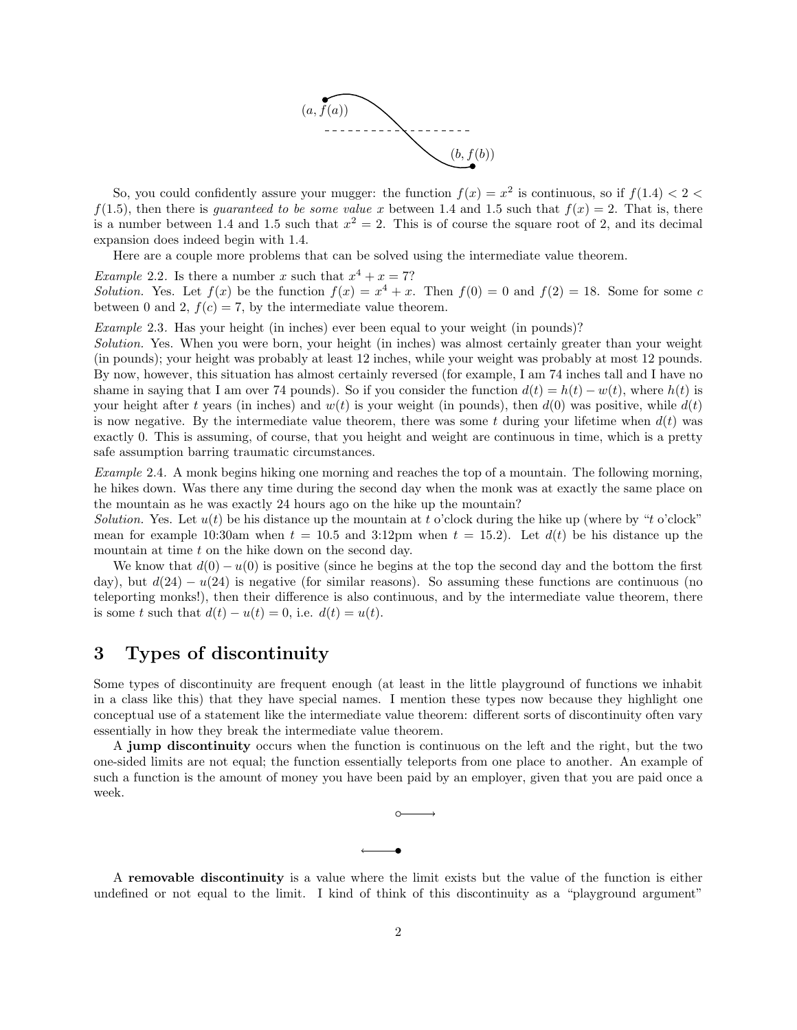

So, you could confidently assure your mugger: the function  $f(x) = x^2$  is continuous, so if  $f(1.4) < 2 <$  $f(1.5)$ , then there is *guaranteed to be some value x* between 1.4 and 1.5 such that  $f(x) = 2$ . That is, there is a number between 1.4 and 1.5 such that  $x^2 = 2$ . This is of course the square root of 2, and its decimal expansion does indeed begin with 1.4.

Here are a couple more problems that can be solved using the intermediate value theorem.

*Example 2.2.* Is there a number x such that  $x^4 + x = 7$ ?

Solution. Yes. Let  $f(x)$  be the function  $f(x) = x^4 + x$ . Then  $f(0) = 0$  and  $f(2) = 18$ . Some for some c between 0 and 2,  $f(c) = 7$ , by the intermediate value theorem.

Example 2.3. Has your height (in inches) ever been equal to your weight (in pounds)?

Solution. Yes. When you were born, your height (in inches) was almost certainly greater than your weight (in pounds); your height was probably at least 12 inches, while your weight was probably at most 12 pounds. By now, however, this situation has almost certainly reversed (for example, I am 74 inches tall and I have no shame in saying that I am over 74 pounds). So if you consider the function  $d(t) = h(t) - w(t)$ , where  $h(t)$  is your height after t years (in inches) and  $w(t)$  is your weight (in pounds), then  $d(0)$  was positive, while  $d(t)$ is now negative. By the intermediate value theorem, there was some t during your lifetime when  $d(t)$  was exactly 0. This is assuming, of course, that you height and weight are continuous in time, which is a pretty safe assumption barring traumatic circumstances.

Example 2.4. A monk begins hiking one morning and reaches the top of a mountain. The following morning, he hikes down. Was there any time during the second day when the monk was at exactly the same place on the mountain as he was exactly 24 hours ago on the hike up the mountain?

Solution. Yes. Let  $u(t)$  be his distance up the mountain at t o'clock during the hike up (where by "t o'clock" mean for example 10:30am when  $t = 10.5$  and 3:12pm when  $t = 15.2$ ). Let  $d(t)$  be his distance up the mountain at time  $t$  on the hike down on the second day.

We know that  $d(0) - u(0)$  is positive (since he begins at the top the second day and the bottom the first day), but  $d(24) - u(24)$  is negative (for similar reasons). So assuming these functions are continuous (no teleporting monks!), then their difference is also continuous, and by the intermediate value theorem, there is some t such that  $d(t) - u(t) = 0$ , i.e.  $d(t) = u(t)$ .

## 3 Types of discontinuity

Some types of discontinuity are frequent enough (at least in the little playground of functions we inhabit in a class like this) that they have special names. I mention these types now because they highlight one conceptual use of a statement like the intermediate value theorem: different sorts of discontinuity often vary essentially in how they break the intermediate value theorem.

A jump discontinuity occurs when the function is continuous on the left and the right, but the two one-sided limits are not equal; the function essentially teleports from one place to another. An example of such a function is the amount of money you have been paid by an employer, given that you are paid once a week.



A removable discontinuity is a value where the limit exists but the value of the function is either undefined or not equal to the limit. I kind of think of this discontinuity as a "playground argument"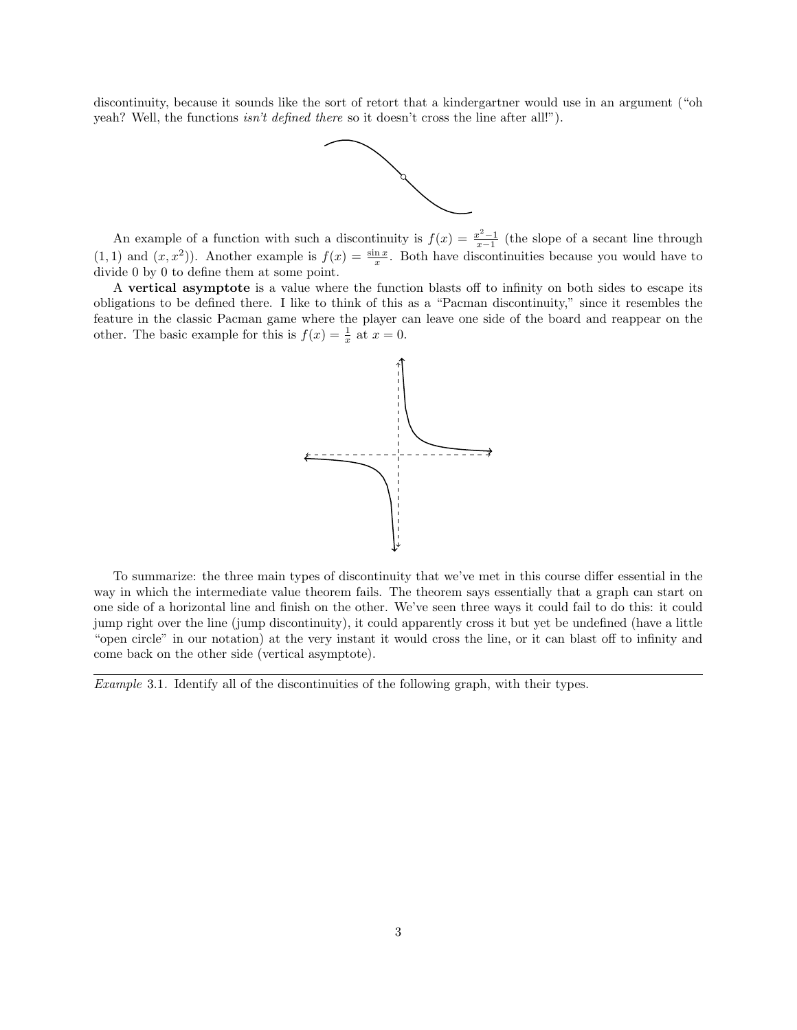discontinuity, because it sounds like the sort of retort that a kindergartner would use in an argument ("oh yeah? Well, the functions *isn't defined there* so it doesn't cross the line after all!").



An example of a function with such a discontinuity is  $f(x) = \frac{x^2-1}{x-1}$  (the slope of a secant line through  $(1, 1)$  and  $(x, x^2)$ ). Another example is  $f(x) = \frac{\sin x}{x}$ . Both have discontinuities because you would have to divide 0 by 0 to define them at some point.

A vertical asymptote is a value where the function blasts off to infinity on both sides to escape its obligations to be defined there. I like to think of this as a "Pacman discontinuity," since it resembles the feature in the classic Pacman game where the player can leave one side of the board and reappear on the other. The basic example for this is  $f(x) = \frac{1}{x}$  at  $x = 0$ .



To summarize: the three main types of discontinuity that we've met in this course differ essential in the way in which the intermediate value theorem fails. The theorem says essentially that a graph can start on one side of a horizontal line and finish on the other. We've seen three ways it could fail to do this: it could jump right over the line (jump discontinuity), it could apparently cross it but yet be undefined (have a little "open circle" in our notation) at the very instant it would cross the line, or it can blast off to infinity and come back on the other side (vertical asymptote).

Example 3.1. Identify all of the discontinuities of the following graph, with their types.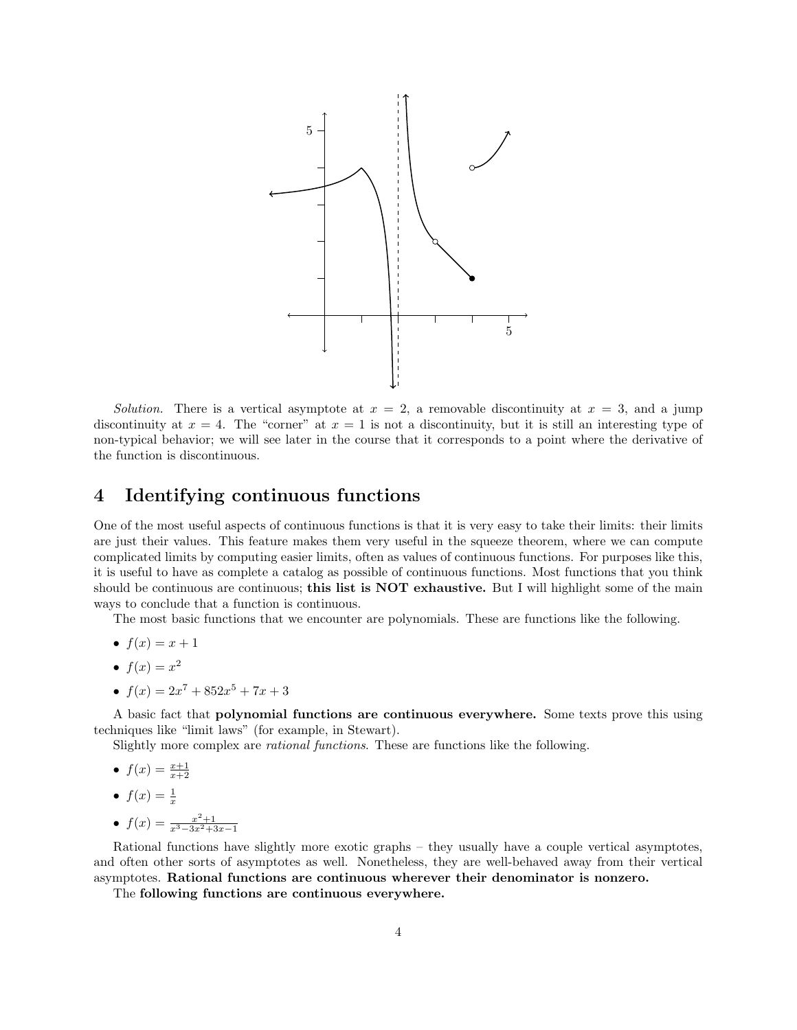

Solution. There is a vertical asymptote at  $x = 2$ , a removable discontinuity at  $x = 3$ , and a jump discontinuity at  $x = 4$ . The "corner" at  $x = 1$  is not a discontinuity, but it is still an interesting type of non-typical behavior; we will see later in the course that it corresponds to a point where the derivative of the function is discontinuous.

### 4 Identifying continuous functions

One of the most useful aspects of continuous functions is that it is very easy to take their limits: their limits are just their values. This feature makes them very useful in the squeeze theorem, where we can compute complicated limits by computing easier limits, often as values of continuous functions. For purposes like this, it is useful to have as complete a catalog as possible of continuous functions. Most functions that you think should be continuous are continuous; this list is NOT exhaustive. But I will highlight some of the main ways to conclude that a function is continuous.

The most basic functions that we encounter are polynomials. These are functions like the following.

- $f(x) = x + 1$
- $f(x) = x^2$
- $f(x) = 2x^7 + 852x^5 + 7x + 3$

A basic fact that polynomial functions are continuous everywhere. Some texts prove this using techniques like "limit laws" (for example, in Stewart).

Slightly more complex are rational functions. These are functions like the following.

- $f(x) = \frac{x+1}{x+2}$
- $f(x) = \frac{1}{x}$
- $f(x) = \frac{x^2+1}{x^3-3x^2+3x-1}$

Rational functions have slightly more exotic graphs – they usually have a couple vertical asymptotes, and often other sorts of asymptotes as well. Nonetheless, they are well-behaved away from their vertical asymptotes. Rational functions are continuous wherever their denominator is nonzero.

The following functions are continuous everywhere.